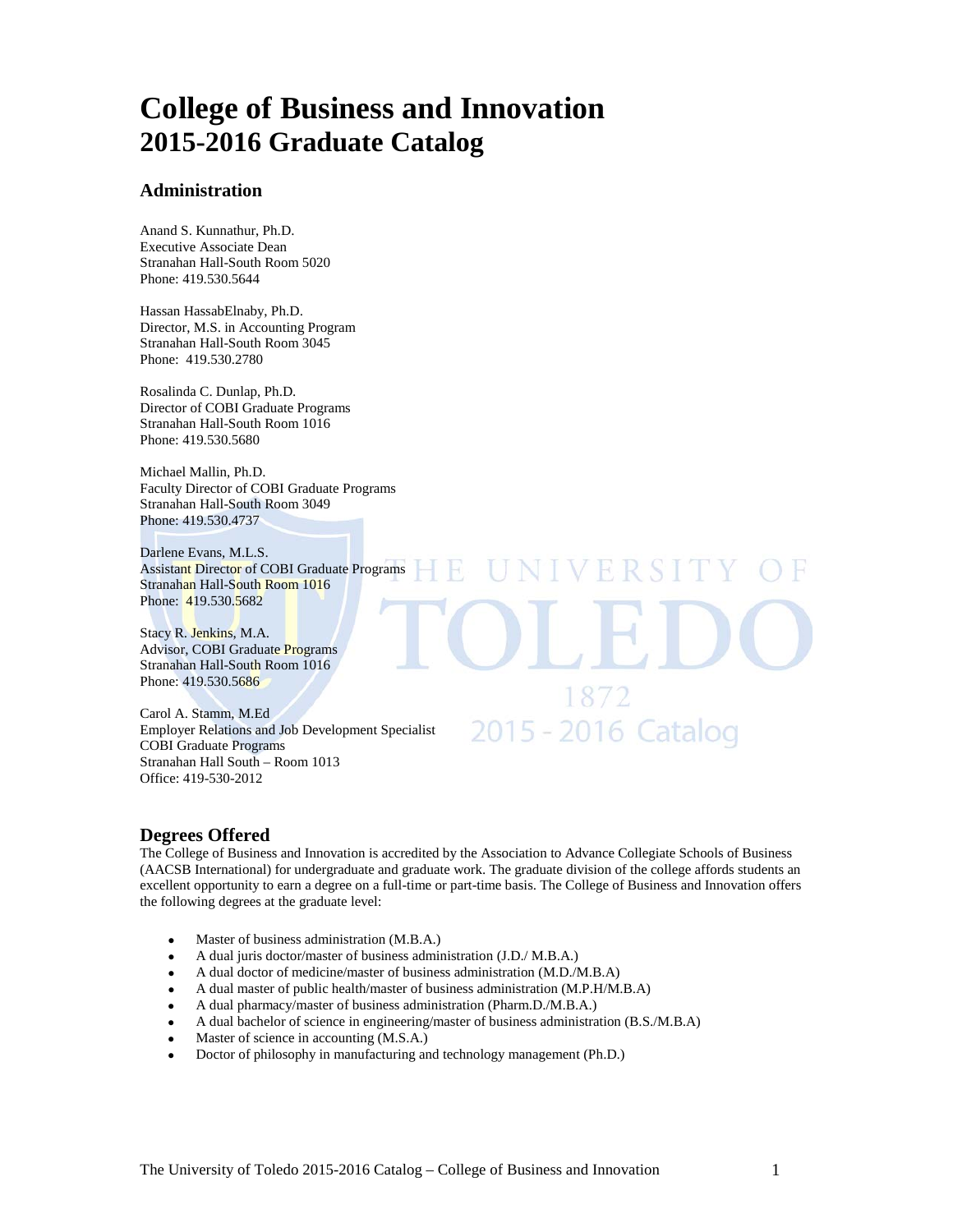# **College of Business and Innovation 2015-2016 Graduate Catalog**

#### **Administration**

Anand S. Kunnathur, Ph.D. Executive Associate Dean Stranahan Hall-South Room 5020 Phone: 419.530.5644

Hassan HassabElnaby, Ph.D. Director, M.S. in Accounting Program Stranahan Hall-South Room 3045 Phone: 419.530.2780

Rosalinda C. Dunlap, Ph.D. Director of COBI Graduate Programs Stranahan Hall-South Room 1016 Phone: 419.530.5680

Michael Mallin, Ph.D. Faculty Director of COBI Graduate Programs Stranahan Hall-South Room 3049 Phone: 419.530.4737

Darlene Evans, M.L.S. Assistant Director of COBI Graduate Programs Stranahan Hall-South Room 1016 Phone: 419.530.5682

Stacy R. Jenkins, M.A. Advisor, COBI Graduate Programs Stranahan Hall-South Room 1016 Phone: 419.530.5686

Carol A. Stamm, M.Ed Employer Relations and Job Development Specialist COBI Graduate Programs Stranahan Hall South – Room 1013 Office: 419-530-2012

2015 - 2016 Catalog

VERSI

#### **Degrees Offered**

The College of Business and Innovation is accredited by the Association to Advance Collegiate Schools of Business (AACSB International) for undergraduate and graduate work. The graduate division of the college affords students an excellent opportunity to earn a degree on a full-time or part-time basis. The College of Business and Innovation offers the following degrees at the graduate level:

- Master of business administration (M.B.A.)
- A dual juris doctor/master of business administration (J.D./ M.B.A.)
- A dual doctor of medicine/master of business administration (M.D./M.B.A)
- A dual master of public health/master of business administration (M.P.H/M.B.A)
- A dual pharmacy/master of business administration (Pharm.D./M.B.A.)
- A dual bachelor of science in engineering/master of business administration (B.S./M.B.A)
- Master of science in accounting (M.S.A.)
- Doctor of philosophy in manufacturing and technology management (Ph.D.)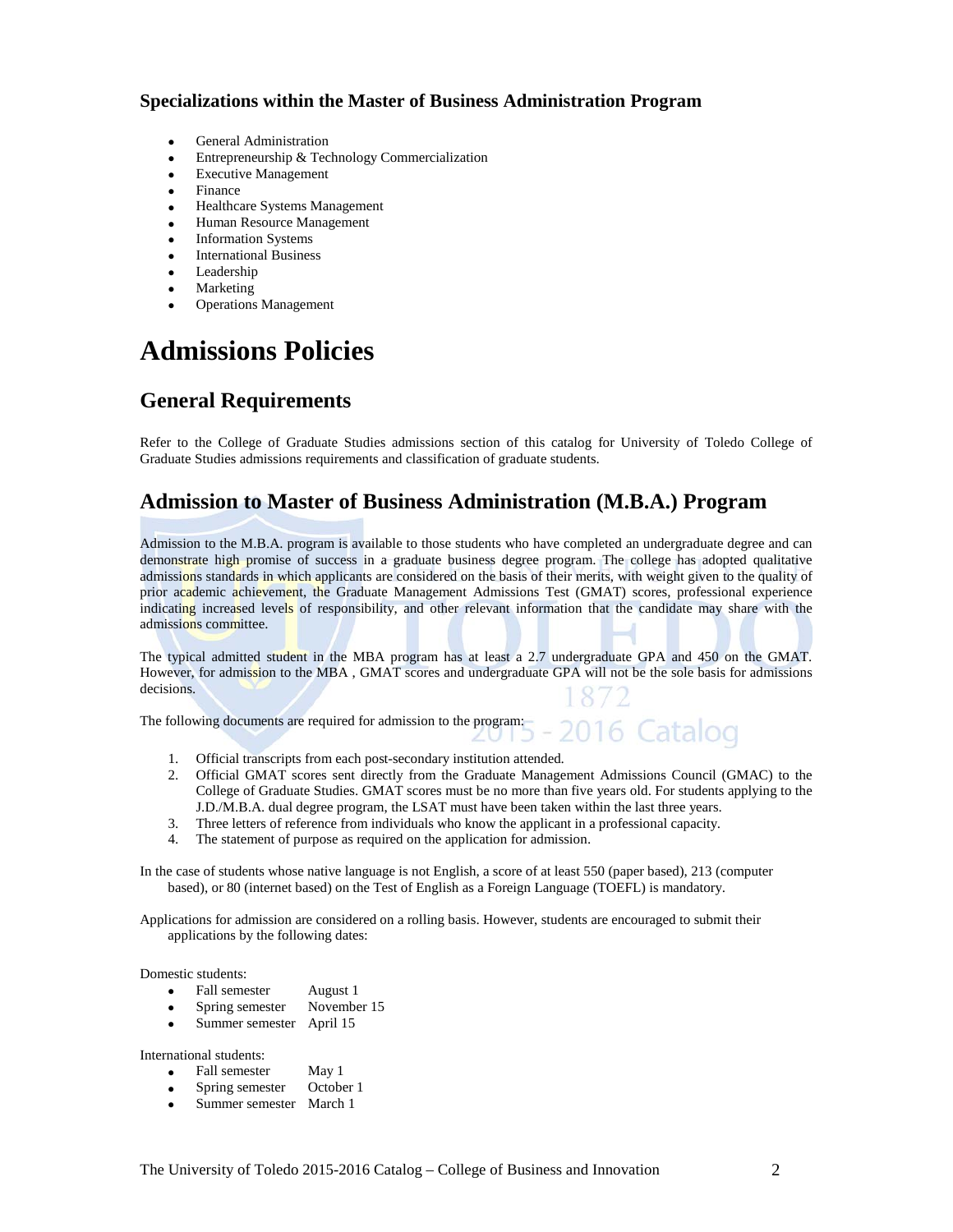#### **Specializations within the Master of Business Administration Program**

- General Administration
- Entrepreneurship & Technology Commercialization
- Executive Management
- Finance
- Healthcare Systems Management
- Human Resource Management
- **Information Systems**
- International Business
- **Leadership**
- **Marketing**
- Operations Management

# **Admissions Policies**

### **General Requirements**

Refer to the College of Graduate Studies admissions section of this catalog for University of Toledo College of Graduate Studies admissions requirements and classification of graduate students.

### **Admission to Master of Business Administration (M.B.A.) Program**

Admission to the M.B.A. program is available to those students who have completed an undergraduate degree and can demonstrate high promise of success in a graduate business degree program. The college has adopted qualitative admissions standards in which applicants are considered on the basis of their merits, with weight given to the quality of prior academic achievement, the Graduate Management Admissions Test (GMAT) scores, professional experience indicating increased levels of responsibility, and other relevant information that the candidate may share with the admissions committee.

The typical admitted student in the MBA program has at least a 2.7 undergraduate GPA and 450 on the GMAT. However, for admission to the MBA, GMAT scores and undergraduate GPA will not be the sole basis for admissions decisions.

The following documents are required for admission to the program:

- 1. Official transcripts from each post-secondary institution attended.
- 2. Official GMAT scores sent directly from the Graduate Management Admissions Council (GMAC) to the College of Graduate Studies. GMAT scores must be no more than five years old. For students applying to the J.D./M.B.A. dual degree program, the LSAT must have been taken within the last three years.
- 3. Three letters of reference from individuals who know the applicant in a professional capacity.
- 4. The statement of purpose as required on the application for admission.

In the case of students whose native language is not English, a score of at least 550 (paper based), 213 (computer based), or 80 (internet based) on the Test of English as a Foreign Language (TOEFL) is mandatory.

Applications for admission are considered on a rolling basis. However, students are encouraged to submit their applications by the following dates:

Domestic students:

- Fall semester August 1
- Spring semester November 15
- Summer semester April 15

International students:

- Fall semester May 1
- Spring semester October 1
- Summer semester March 1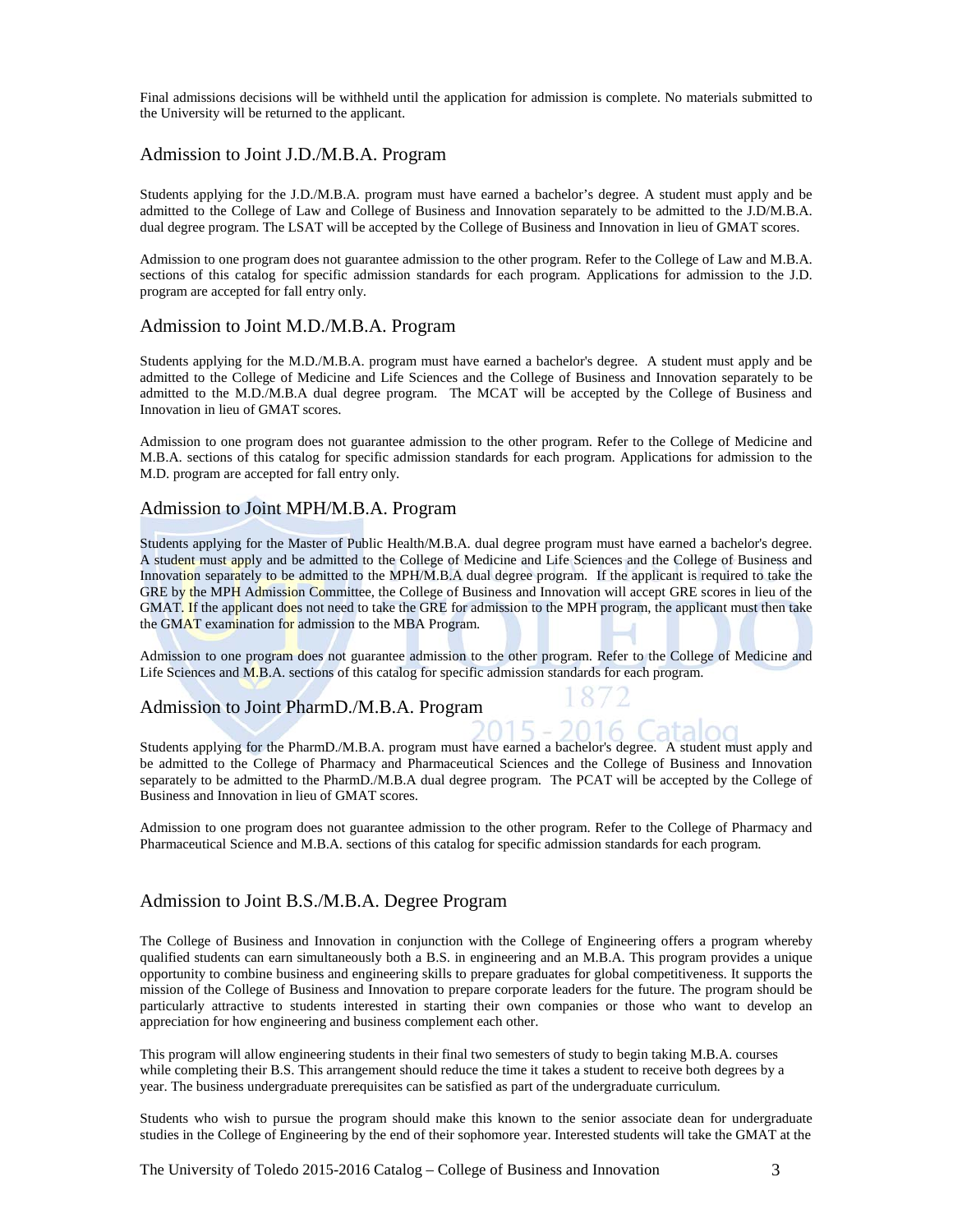Final admissions decisions will be withheld until the application for admission is complete. No materials submitted to the University will be returned to the applicant.

#### Admission to Joint J.D./M.B.A. Program

Students applying for the J.D./M.B.A. program must have earned a bachelor's degree. A student must apply and be admitted to the College of Law and College of Business and Innovation separately to be admitted to the J.D/M.B.A. dual degree program. The LSAT will be accepted by the College of Business and Innovation in lieu of GMAT scores.

Admission to one program does not guarantee admission to the other program. Refer to the College of Law and M.B.A. sections of this catalog for specific admission standards for each program. Applications for admission to the J.D. program are accepted for fall entry only.

#### Admission to Joint M.D./M.B.A. Program

Students applying for the M.D./M.B.A. program must have earned a bachelor's degree. A student must apply and be admitted to the College of Medicine and Life Sciences and the College of Business and Innovation separately to be admitted to the M.D./M.B.A dual degree program. The MCAT will be accepted by the College of Business and Innovation in lieu of GMAT scores.

Admission to one program does not guarantee admission to the other program. Refer to the College of Medicine and M.B.A. sections of this catalog for specific admission standards for each program. Applications for admission to the M.D. program are accepted for fall entry only.

#### Admission to Joint MPH/M.B.A. Program

Students applying for the Master of Public Health/M.B.A. dual degree program must have earned a bachelor's degree. A student must apply and be admitted to the College of Medicine and Life Sciences and the College of Business and Innovation separately to be admitted to the MPH/M.B.A dual degree program. If the applicant is required to take the GRE by the MPH Admission Committee, the College of Business and Innovation will accept GRE scores in lieu of the GMAT. If the applicant does not need to take the GRE for admission to the MPH program, the applicant must then take the GMAT examination for admission to the MBA Program.

Admission to one program does not guarantee admission to the other program. Refer to the College of Medicine and Life Sciences and M.B.A. sections of this catalog for specific admission standards for each program.

#### Admission to Joint PharmD./M.B.A. Program

Students applying for the PharmD./M.B.A. program must have earned a bachelor's degree. A student must apply and be admitted to the College of Pharmacy and Pharmaceutical Sciences and the College of Business and Innovation separately to be admitted to the PharmD./M.B.A dual degree program. The PCAT will be accepted by the College of Business and Innovation in lieu of GMAT scores.

Admission to one program does not guarantee admission to the other program. Refer to the College of Pharmacy and Pharmaceutical Science and M.B.A. sections of this catalog for specific admission standards for each program.

#### Admission to Joint B.S./M.B.A. Degree Program

The College of Business and Innovation in conjunction with the College of Engineering offers a program whereby qualified students can earn simultaneously both a B.S. in engineering and an M.B.A. This program provides a unique opportunity to combine business and engineering skills to prepare graduates for global competitiveness. It supports the mission of the College of Business and Innovation to prepare corporate leaders for the future. The program should be particularly attractive to students interested in starting their own companies or those who want to develop an appreciation for how engineering and business complement each other.

This program will allow engineering students in their final two semesters of study to begin taking M.B.A. courses while completing their B.S. This arrangement should reduce the time it takes a student to receive both degrees by a year. The business undergraduate prerequisites can be satisfied as part of the undergraduate curriculum.

Students who wish to pursue the program should make this known to the senior associate dean for undergraduate studies in the College of Engineering by the end of their sophomore year. Interested students will take the GMAT at the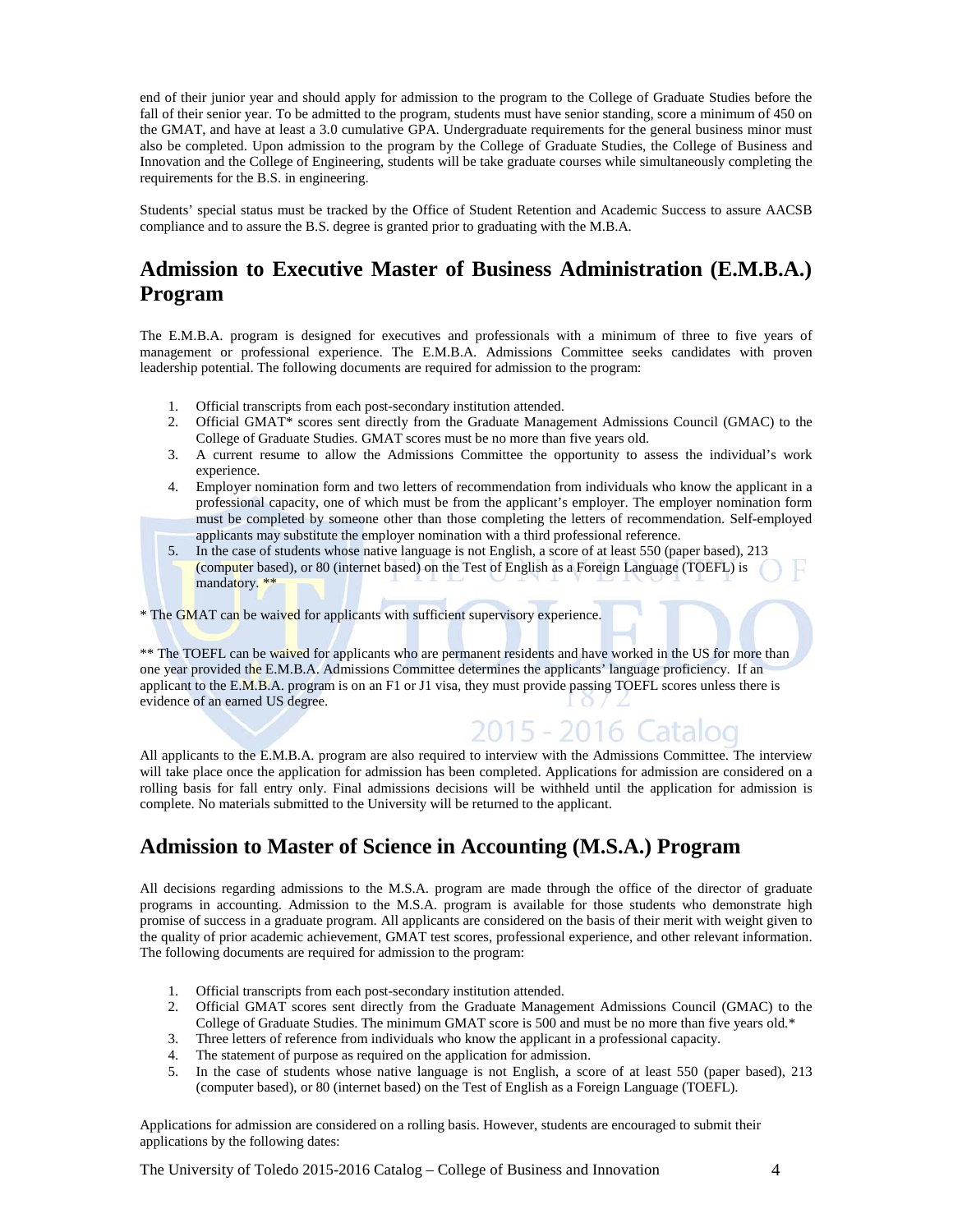end of their junior year and should apply for admission to the program to the College of Graduate Studies before the fall of their senior year. To be admitted to the program, students must have senior standing, score a minimum of 450 on the GMAT, and have at least a 3.0 cumulative GPA. Undergraduate requirements for the general business minor must also be completed. Upon admission to the program by the College of Graduate Studies, the College of Business and Innovation and the College of Engineering, students will be take graduate courses while simultaneously completing the requirements for the B.S. in engineering.

Students' special status must be tracked by the Office of Student Retention and Academic Success to assure AACSB compliance and to assure the B.S. degree is granted prior to graduating with the M.B.A.

## **Admission to Executive Master of Business Administration (E.M.B.A.) Program**

The E.M.B.A. program is designed for executives and professionals with a minimum of three to five years of management or professional experience. The E.M.B.A. Admissions Committee seeks candidates with proven leadership potential. The following documents are required for admission to the program:

- 1. Official transcripts from each post-secondary institution attended.
- 2. Official GMAT\* scores sent directly from the Graduate Management Admissions Council (GMAC) to the College of Graduate Studies. GMAT scores must be no more than five years old.
- 3. A current resume to allow the Admissions Committee the opportunity to assess the individual's work experience.
- 4. Employer nomination form and two letters of recommendation from individuals who know the applicant in a professional capacity, one of which must be from the applicant's employer. The employer nomination form must be completed by someone other than those completing the letters of recommendation. Self-employed applicants may substitute the employer nomination with a third professional reference.
- 5. In the case of students whose native language is not English, a score of at least 550 (paper based), 213 (computer based), or 80 (internet based) on the Test of English as a Foreign Language (TOEFL) is mandatory. \*\*

\* The GMAT can be waived for applicants with sufficient supervisory experience.

\*\* The TOEFL can be waived for applicants who are permanent residents and have worked in the US for more than one year provided the E.M.B.A. Admissions Committee determines the applicants' language proficiency. If an applicant to the E.M.B.A. program is on an F1 or J1 visa, they must provide passing TOEFL scores unless there is evidence of an earned US degree.

# 2015 - 2016 (

All applicants to the E.M.B.A. program are also required to interview with the Admissions Committee. The interview will take place once the application for admission has been completed. Applications for admission are considered on a rolling basis for fall entry only. Final admissions decisions will be withheld until the application for admission is complete. No materials submitted to the University will be returned to the applicant.

### **Admission to Master of Science in Accounting (M.S.A.) Program**

All decisions regarding admissions to the M.S.A. program are made through the office of the director of graduate programs in accounting. Admission to the M.S.A. program is available for those students who demonstrate high promise of success in a graduate program. All applicants are considered on the basis of their merit with weight given to the quality of prior academic achievement, GMAT test scores, professional experience, and other relevant information. The following documents are required for admission to the program:

- 1. Official transcripts from each post-secondary institution attended.
- 2. Official GMAT scores sent directly from the Graduate Management Admissions Council (GMAC) to the College of Graduate Studies. The minimum GMAT score is 500 and must be no more than five years old.\*
- 3. Three letters of reference from individuals who know the applicant in a professional capacity.
- 4. The statement of purpose as required on the application for admission.
- 5. In the case of students whose native language is not English, a score of at least 550 (paper based), 213 (computer based), or 80 (internet based) on the Test of English as a Foreign Language (TOEFL).

Applications for admission are considered on a rolling basis. However, students are encouraged to submit their applications by the following dates:

The University of Toledo 2015-2016 Catalog – College of Business and Innovation 4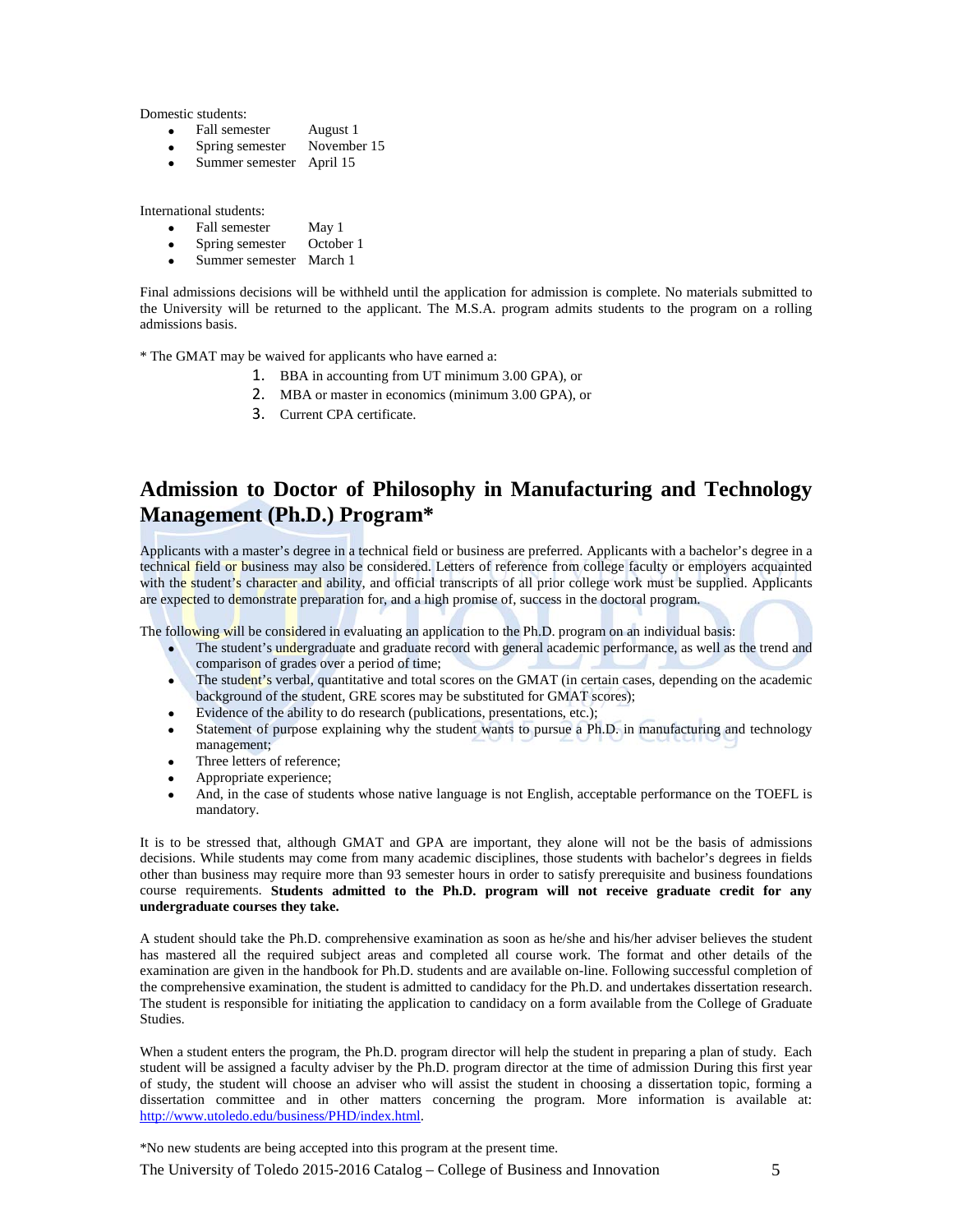Domestic students:

- Fall semester August 1<br>• Spring semester November 15
- $\bullet$  Spring semester
- Summer semester April 15

International students:

- Fall semester May 1
- Spring semester October 1
- Summer semester March 1

Final admissions decisions will be withheld until the application for admission is complete. No materials submitted to the University will be returned to the applicant. The M.S.A. program admits students to the program on a rolling admissions basis.

\* The GMAT may be waived for applicants who have earned a:

- 1. BBA in accounting from UT minimum 3.00 GPA), or
- 2. MBA or master in economics (minimum 3.00 GPA), or
- 3. Current CPA certificate.

### **Admission to Doctor of Philosophy in Manufacturing and Technology Management (Ph.D.) Program\***

Applicants with a master's degree in a technical field or business are preferred. Applicants with a bachelor's degree in a technical field or business may also be considered. Letters of reference from college faculty or employers acquainted with the student's character and ability, and official transcripts of all prior college work must be supplied. Applicants are expected to demonstrate preparation for, and a high promise of, success in the doctoral program.

The following will be considered in evaluating an application to the Ph.D. program on an individual basis:

- The student's undergraduate and graduate record with general academic performance, as well as the trend and comparison of grades over a period of time;
- The student's verbal, quantitative and total scores on the GMAT (in certain cases, depending on the academic background of the student, GRE scores may be substituted for GMAT scores);
- Evidence of the ability to do research (publications, presentations, etc.);
- Statement of purpose explaining why the student wants to pursue a Ph.D. in manufacturing and technology management;
- Three letters of reference;
- Appropriate experience;
- And, in the case of students whose native language is not English, acceptable performance on the TOEFL is mandatory.

It is to be stressed that, although GMAT and GPA are important, they alone will not be the basis of admissions decisions. While students may come from many academic disciplines, those students with bachelor's degrees in fields other than business may require more than 93 semester hours in order to satisfy prerequisite and business foundations course requirements. **Students admitted to the Ph.D. program will not receive graduate credit for any undergraduate courses they take.**

A student should take the Ph.D. comprehensive examination as soon as he/she and his/her adviser believes the student has mastered all the required subject areas and completed all course work. The format and other details of the examination are given in the handbook for Ph.D. students and are available on-line. Following successful completion of the comprehensive examination, the student is admitted to candidacy for the Ph.D. and undertakes dissertation research. The student is responsible for initiating the application to candidacy on a form available from the College of Graduate Studies.

When a student enters the program, the Ph.D. program director will help the student in preparing a plan of study. Each student will be assigned a faculty adviser by the Ph.D. program director at the time of admission During this first year of study, the student will choose an adviser who will assist the student in choosing a dissertation topic, forming a dissertation committee and in other matters concerning the program. More information is available at: [http://www.utoledo.edu/business/PHD/index.html.](http://www.utoledo.edu/business/PHD/index.html)

The University of Toledo 2015-2016 Catalog – College of Business and Innovation 5 \*No new students are being accepted into this program at the present time.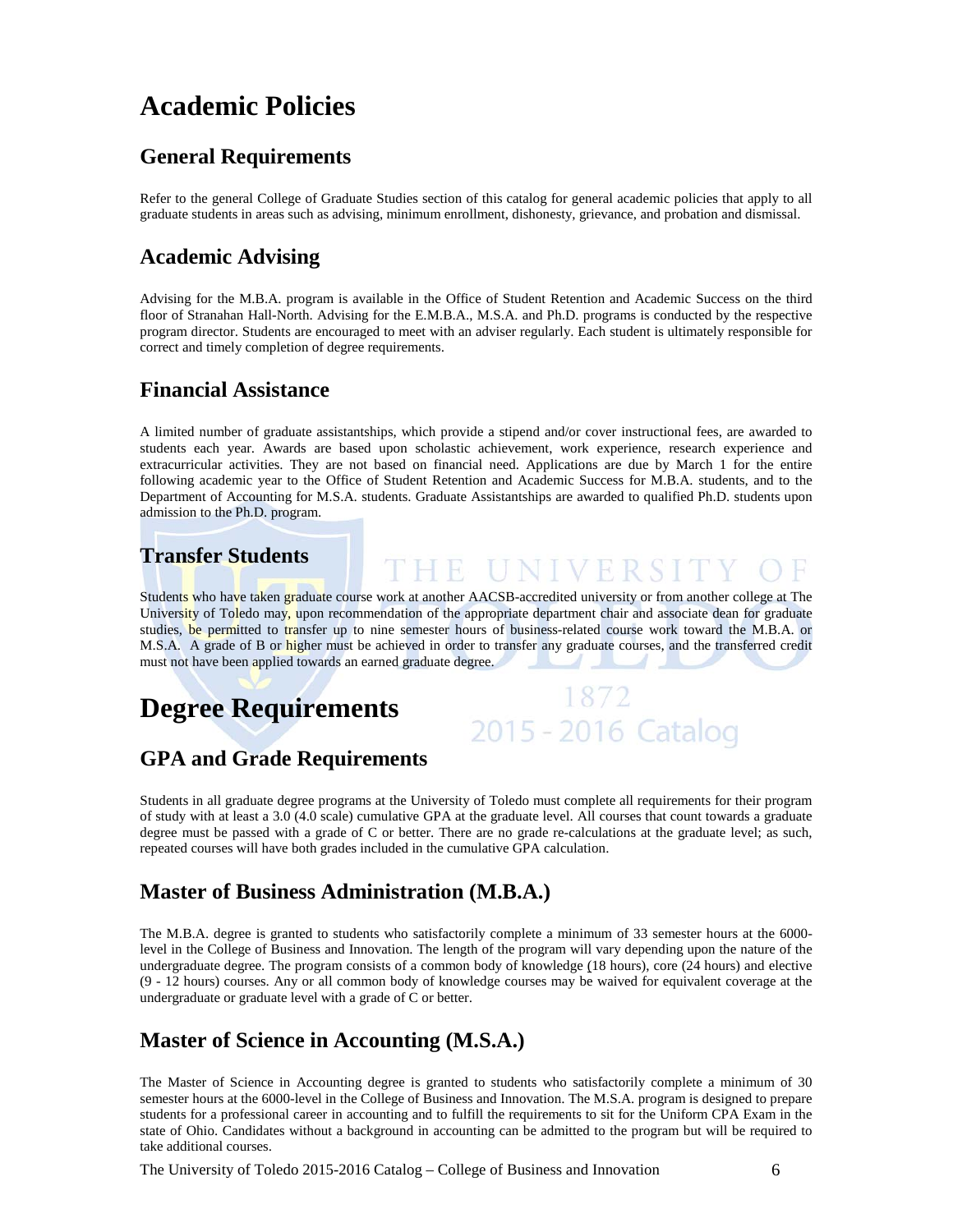# **Academic Policies**

## **General Requirements**

Refer to the general College of Graduate Studies section of this catalog for general academic policies that apply to all graduate students in areas such as advising, minimum enrollment, dishonesty, grievance, and probation and dismissal.

## **Academic Advising**

Advising for the M.B.A. program is available in the Office of Student Retention and Academic Success on the third floor of Stranahan Hall-North. Advising for the E.M.B.A., M.S.A. and Ph.D. programs is conducted by the respective program director. Students are encouraged to meet with an adviser regularly. Each student is ultimately responsible for correct and timely completion of degree requirements.

### **Financial Assistance**

A limited number of graduate assistantships, which provide a stipend and/or cover instructional fees, are awarded to students each year. Awards are based upon scholastic achievement, work experience, research experience and extracurricular activities. They are not based on financial need. Applications are due by March 1 for the entire following academic year to the Office of Student Retention and Academic Success for M.B.A. students, and to the Department of Accounting for M.S.A. students. Graduate Assistantships are awarded to qualified Ph.D. students upon admission to the Ph.D. program.

# **Transfer Students**

Students who have taken graduate course work at another AACSB-accredited university or from another college at The University of Toledo may, upon recommendation of the appropriate department chair and associate dean for graduate studies, be permitted to transfer up to nine semester hours of business-related course work toward the M.B.A. or M.S.A. A grade of B or higher must be achieved in order to transfer any graduate courses, and the transferred credit must not have been applied towards an earned graduate degree.

THE UNIVERSIT

# **Degree Requirements**



# **GPA and Grade Requirements**

Students in all graduate degree programs at the University of Toledo must complete all requirements for their program of study with at least a 3.0 (4.0 scale) cumulative GPA at the graduate level. All courses that count towards a graduate degree must be passed with a grade of C or better. There are no grade re-calculations at the graduate level; as such, repeated courses will have both grades included in the cumulative GPA calculation.

## **Master of Business Administration (M.B.A.)**

The M.B.A. degree is granted to students who satisfactorily complete a minimum of 33 semester hours at the 6000 level in the College of Business and Innovation. The length of the program will vary depending upon the nature of the undergraduate degree. The program consists of a common body of knowledge (18 hours), core (24 hours) and elective (9 - 12 hours) courses. Any or all common body of knowledge courses may be waived for equivalent coverage at the undergraduate or graduate level with a grade of C or better.

# **Master of Science in Accounting (M.S.A.)**

The Master of Science in Accounting degree is granted to students who satisfactorily complete a minimum of 30 semester hours at the 6000-level in the College of Business and Innovation. The M.S.A. program is designed to prepare students for a professional career in accounting and to fulfill the requirements to sit for the Uniform CPA Exam in the state of Ohio. Candidates without a background in accounting can be admitted to the program but will be required to take additional courses.

The University of Toledo 2015-2016 Catalog – College of Business and Innovation 6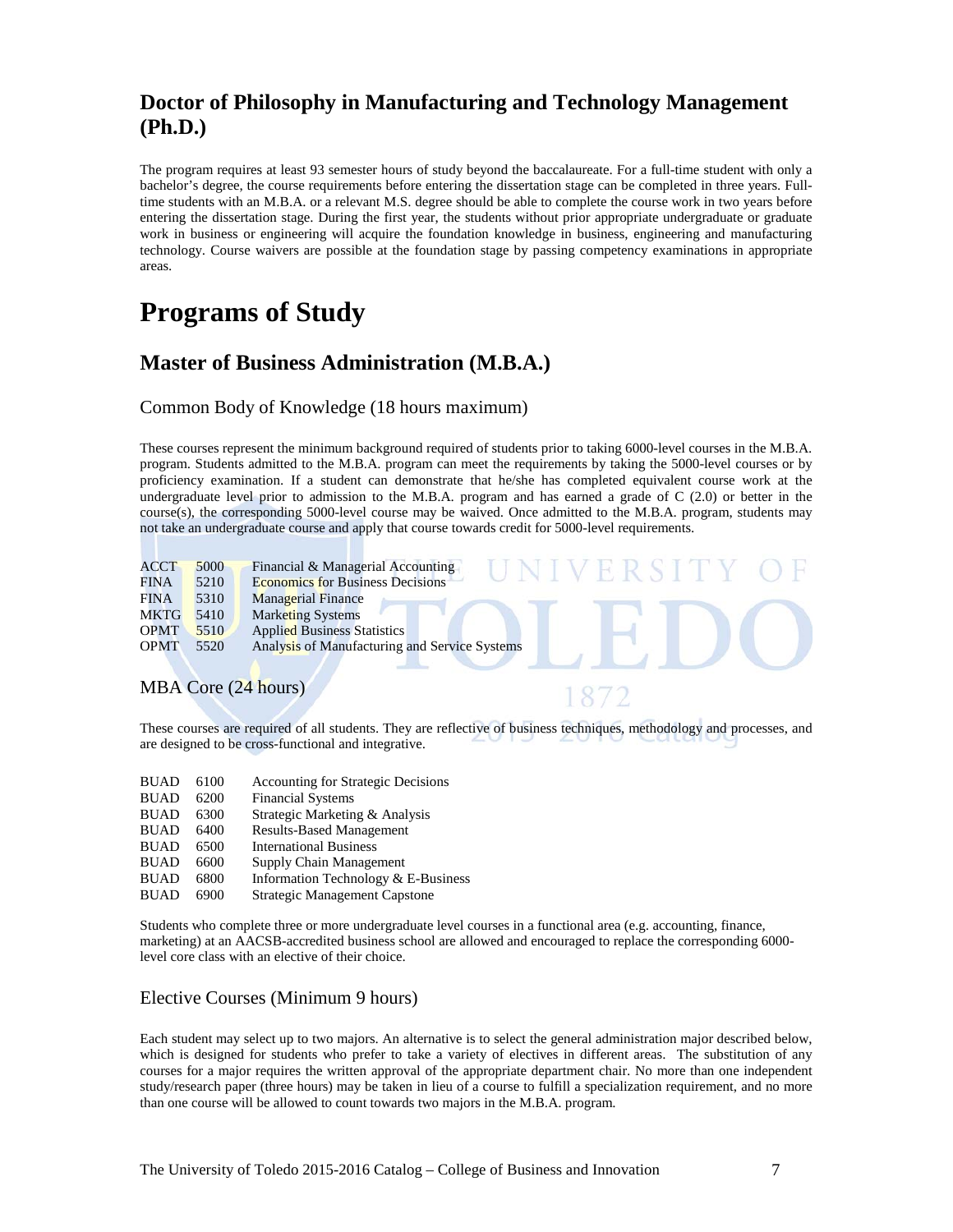## **Doctor of Philosophy in Manufacturing and Technology Management (Ph.D.)**

The program requires at least 93 semester hours of study beyond the baccalaureate. For a full-time student with only a bachelor's degree, the course requirements before entering the dissertation stage can be completed in three years. Fulltime students with an M.B.A. or a relevant M.S. degree should be able to complete the course work in two years before entering the dissertation stage. During the first year, the students without prior appropriate undergraduate or graduate work in business or engineering will acquire the foundation knowledge in business, engineering and manufacturing technology. Course waivers are possible at the foundation stage by passing competency examinations in appropriate areas.

# **Programs of Study**

### **Master of Business Administration (M.B.A.)**

Common Body of Knowledge (18 hours maximum)

These courses represent the minimum background required of students prior to taking 6000-level courses in the M.B.A. program. Students admitted to the M.B.A. program can meet the requirements by taking the 5000-level courses or by proficiency examination. If a student can demonstrate that he/she has completed equivalent course work at the undergraduate level prior to admission to the M.B.A. program and has earned a grade of C (2.0) or better in the course(s), the corresponding 5000-level course may be waived. Once admitted to the M.B.A. program, students may not take an undergraduate course and apply that course towards credit for 5000-level requirements.

| <b>ACCT</b><br>FINA | 5000<br>5210 | Financial & Managerial Accounting<br>E R ST<br><b>Economics for Business Decisions</b> |  |
|---------------------|--------------|----------------------------------------------------------------------------------------|--|
| <b>FINA</b>         | 5310         | <b>Managerial Finance</b>                                                              |  |
| <b>MKTG</b>         | 5410         | <b>Marketing Systems</b>                                                               |  |
| <b>OPMT</b>         | 5510         | <b>Applied Business Statistics</b>                                                     |  |
| <b>OPMT</b>         | 5520         | Analysis of Manufacturing and Service Systems                                          |  |
|                     |              |                                                                                        |  |
|                     |              | MBA Core (24 hours)                                                                    |  |

These courses are required of all students. They are reflective of business techniques, methodology and processes, and are designed to be cross-functional and integrative.

- BUAD 6100 Accounting for Strategic Decisions<br>BUAD 6200 Financial Systems
- Financial Systems
- BUAD 6300 Strategic Marketing & Analysis
- BUAD 6400 Results-Based Management<br>BUAD 6500 International Business
- 
- BUAD 6500 International Business<br>BUAD 6600 Supply Chain Manage Supply Chain Management
- BUAD 6800 Information Technology & E-Business
- BUAD 6900 Strategic Management Capstone

Students who complete three or more undergraduate level courses in a functional area (e.g. accounting, finance, marketing) at an AACSB-accredited business school are allowed and encouraged to replace the corresponding 6000 level core class with an elective of their choice.

#### Elective Courses (Minimum 9 hours)

Each student may select up to two majors. An alternative is to select the general administration major described below, which is designed for students who prefer to take a variety of electives in different areas. The substitution of any courses for a major requires the written approval of the appropriate department chair. No more than one independent study/research paper (three hours) may be taken in lieu of a course to fulfill a specialization requirement, and no more than one course will be allowed to count towards two majors in the M.B.A. program.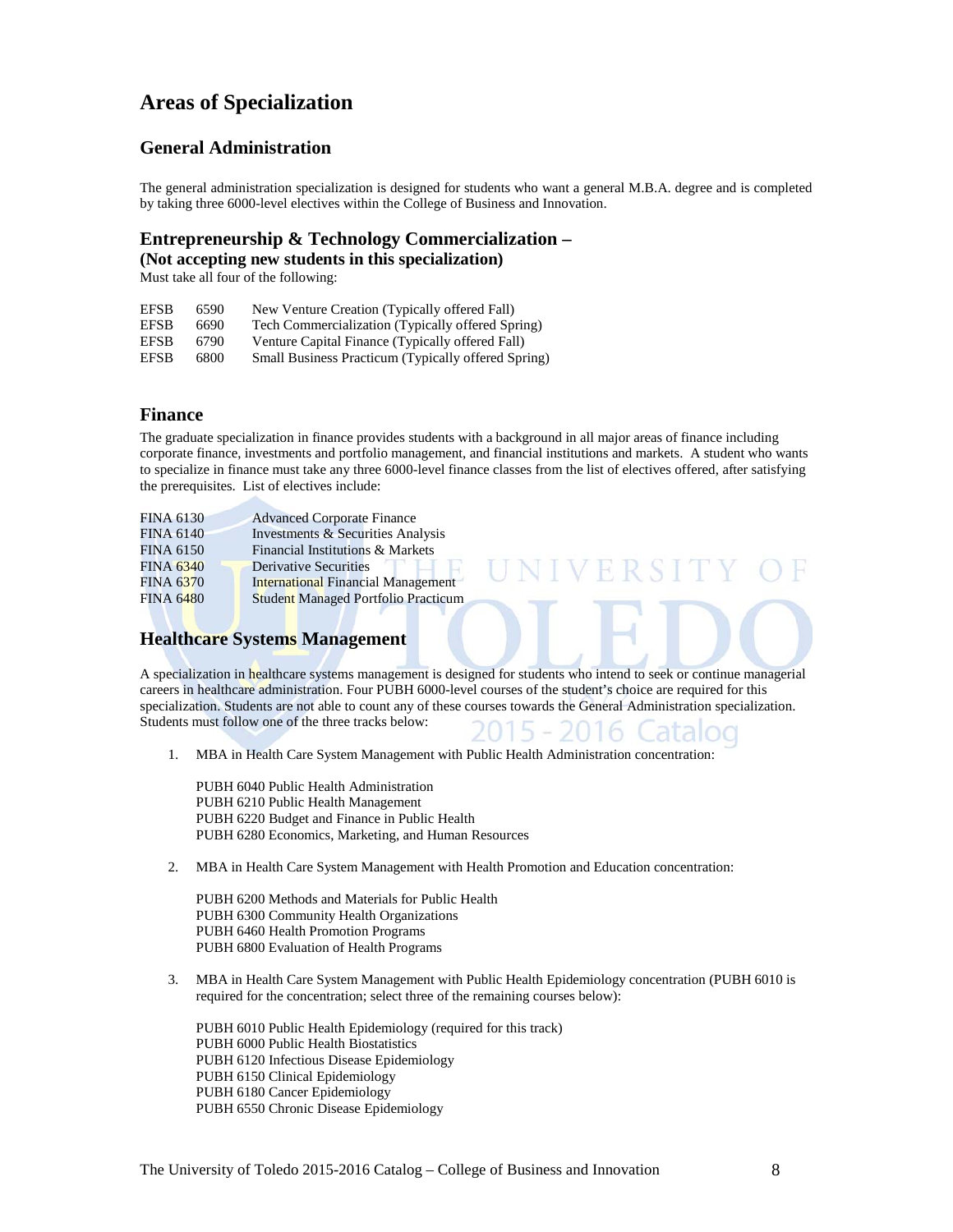### **Areas of Specialization**

#### **General Administration**

The general administration specialization is designed for students who want a general M.B.A. degree and is completed by taking three 6000-level electives within the College of Business and Innovation.

#### **Entrepreneurship & Technology Commercialization –**

**(Not accepting new students in this specialization)**

Must take all four of the following:

| <b>EFSB</b> | 6590 | New Venture Creation (Typically offered Fall)       |
|-------------|------|-----------------------------------------------------|
| <b>EFSB</b> | 6690 | Tech Commercialization (Typically offered Spring)   |
| <b>EFSB</b> | 6790 | Venture Capital Finance (Typically offered Fall)    |
| <b>EFSB</b> | 6800 | Small Business Practicum (Typically offered Spring) |

#### **Finance**

The graduate specialization in finance provides students with a background in all major areas of finance including corporate finance, investments and portfolio management, and financial institutions and markets. A student who wants to specialize in finance must take any three 6000-level finance classes from the list of electives offered, after satisfying the prerequisites. List of electives include:

**IVERSIT** 

| <b>FINA 6130</b> | <b>Advanced Corporate Finance</b>          |
|------------------|--------------------------------------------|
| <b>FINA 6140</b> | Investments & Securities Analysis          |
| <b>FINA 6150</b> | Financial Institutions & Markets           |
| <b>FINA 6340</b> | <b>Derivative Securities</b>               |
| <b>FINA 6370</b> | <b>International Financial Management</b>  |
| <b>FINA 6480</b> | <b>Student Managed Portfolio Practicum</b> |

#### **Healthcare Systems Management**

A specialization in healthcare systems management is designed for students who intend to seek or continue managerial careers in healthcare administration. Four PUBH 6000-level courses of the student's choice are required for this specialization. Students are not able to count any of these courses towards the General Administration specialization. Students must follow one of the three tracks below:

1. MBA in Health Care System Management with Public Health Administration concentration:

PUBH 6040 Public Health Administration PUBH 6210 Public Health Management PUBH 6220 Budget and Finance in Public Health PUBH 6280 Economics, Marketing, and Human Resources

2. MBA in Health Care System Management with Health Promotion and Education concentration:

PUBH 6200 Methods and Materials for Public Health PUBH 6300 Community Health Organizations PUBH 6460 Health Promotion Programs PUBH 6800 Evaluation of Health Programs

3. MBA in Health Care System Management with Public Health Epidemiology concentration (PUBH 6010 is required for the concentration; select three of the remaining courses below):

PUBH 6010 Public Health Epidemiology (required for this track) PUBH 6000 Public Health Biostatistics PUBH 6120 Infectious Disease Epidemiology PUBH 6150 Clinical Epidemiology PUBH 6180 Cancer Epidemiology PUBH 6550 Chronic Disease Epidemiology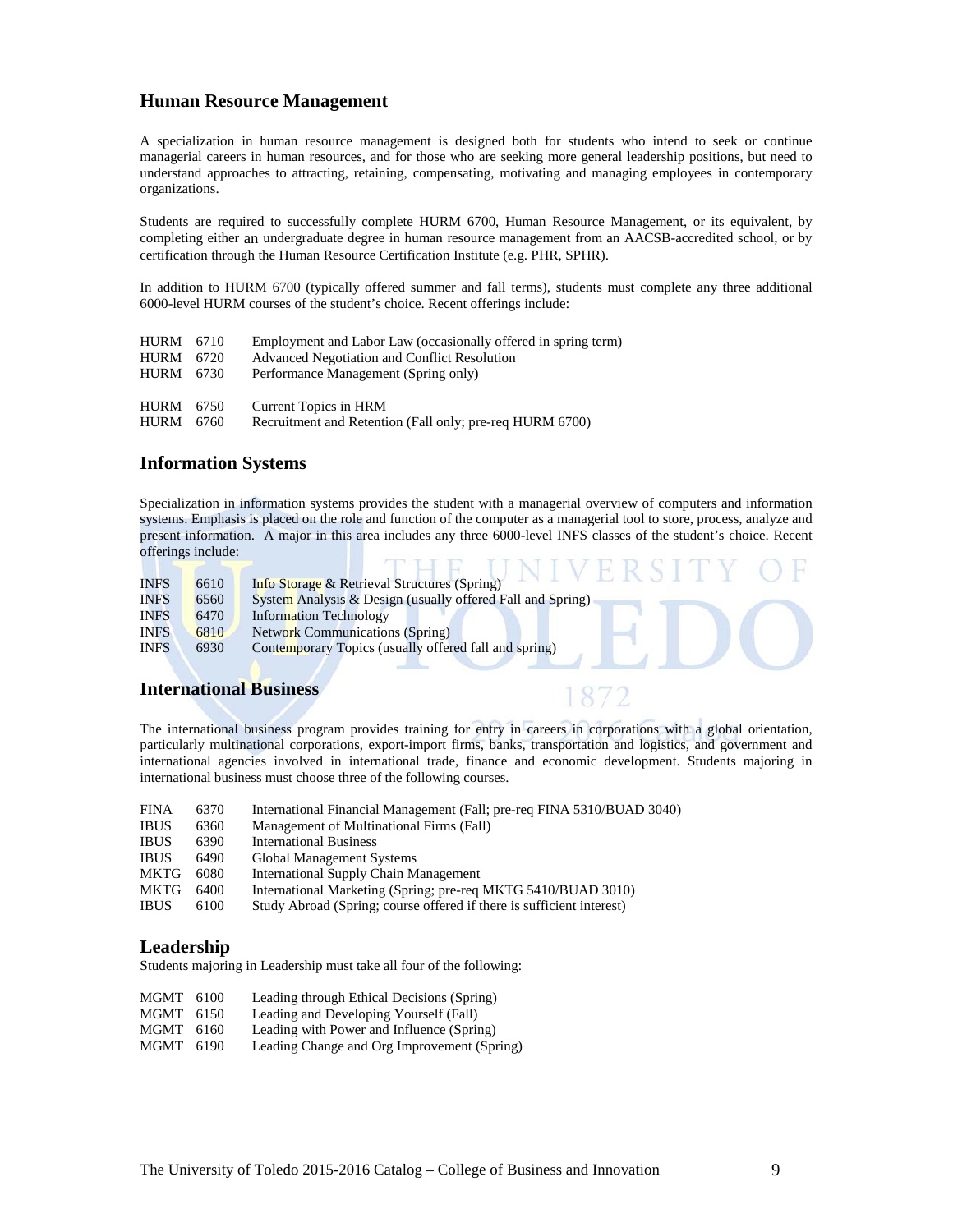#### **Human Resource Management**

A specialization in human resource management is designed both for students who intend to seek or continue managerial careers in human resources, and for those who are seeking more general leadership positions, but need to understand approaches to attracting, retaining, compensating, motivating and managing employees in contemporary organizations.

Students are required to successfully complete HURM 6700, Human Resource Management, or its equivalent, by completing either an undergraduate degree in human resource management from an AACSB-accredited school, or by certification through the Human Resource Certification Institute (e.g. PHR, SPHR).

In addition to HURM 6700 (typically offered summer and fall terms), students must complete any three additional 6000-level HURM courses of the student's choice. Recent offerings include:

| HURM 6710    | Employment and Labor Law (occasionally offered in spring term) |
|--------------|----------------------------------------------------------------|
| 6720         | <b>Advanced Negotiation and Conflict Resolution</b>            |
| HURM 6730    | Performance Management (Spring only)                           |
|              |                                                                |
| HURM<br>6750 | Current Topics in HRM                                          |
| 6760         | Recruitment and Retention (Fall only; pre-req HURM 6700)       |
|              |                                                                |

#### **Information Systems**

Specialization in information systems provides the student with a managerial overview of computers and information systems. Emphasis is placed on the role and function of the computer as a managerial tool to store, process, analyze and present information. A major in this area includes any three 6000-level INFS classes of the student's choice. Recent offerings include: THE HMIVED CITY OF

| <b>INFS</b> | 6610 | Info Storage & Retrieval Structures (Spring)               |
|-------------|------|------------------------------------------------------------|
| <b>INFS</b> | 6560 | System Analysis & Design (usually offered Fall and Spring) |
| <b>INFS</b> | 6470 | <b>Information Technology</b>                              |
| <b>INFS</b> | 6810 | <b>Network Communications (Spring)</b>                     |
| <b>INFS</b> | 6930 | Contemporary Topics (usually offered fall and spring)      |
|             |      |                                                            |

#### **International Business**

The international business program provides training for entry in careers in corporations with a global orientation, particularly multinational corporations, export-import firms, banks, transportation and logistics, and government and international agencies involved in international trade, finance and economic development. Students majoring in international business must choose three of the following courses.

| <b>FINA</b> | 6370 | International Financial Management (Fall; pre-req FINA 5310/BUAD 3040) |
|-------------|------|------------------------------------------------------------------------|
| <b>IBUS</b> | 6360 | Management of Multinational Firms (Fall)                               |
| <b>IBUS</b> | 6390 | <b>International Business</b>                                          |
| <b>IBUS</b> | 6490 | Global Management Systems                                              |
| <b>MKTG</b> | 6080 | International Supply Chain Management                                  |
| MKTG        | 6400 | International Marketing (Spring; pre-req MKTG 5410/BUAD 3010)          |
| <b>IBUS</b> | 6100 | Study Abroad (Spring; course offered if there is sufficient interest)  |

#### **Leadership**

Students majoring in Leadership must take all four of the following:

- MGMT 6100 Leading through Ethical Decisions (Spring)
- MGMT 6150 Leading and Developing Yourself (Fall)
- MGMT 6160 Leading with Power and Influence (Spring)
- MGMT 6190 Leading Change and Org Improvement (Spring)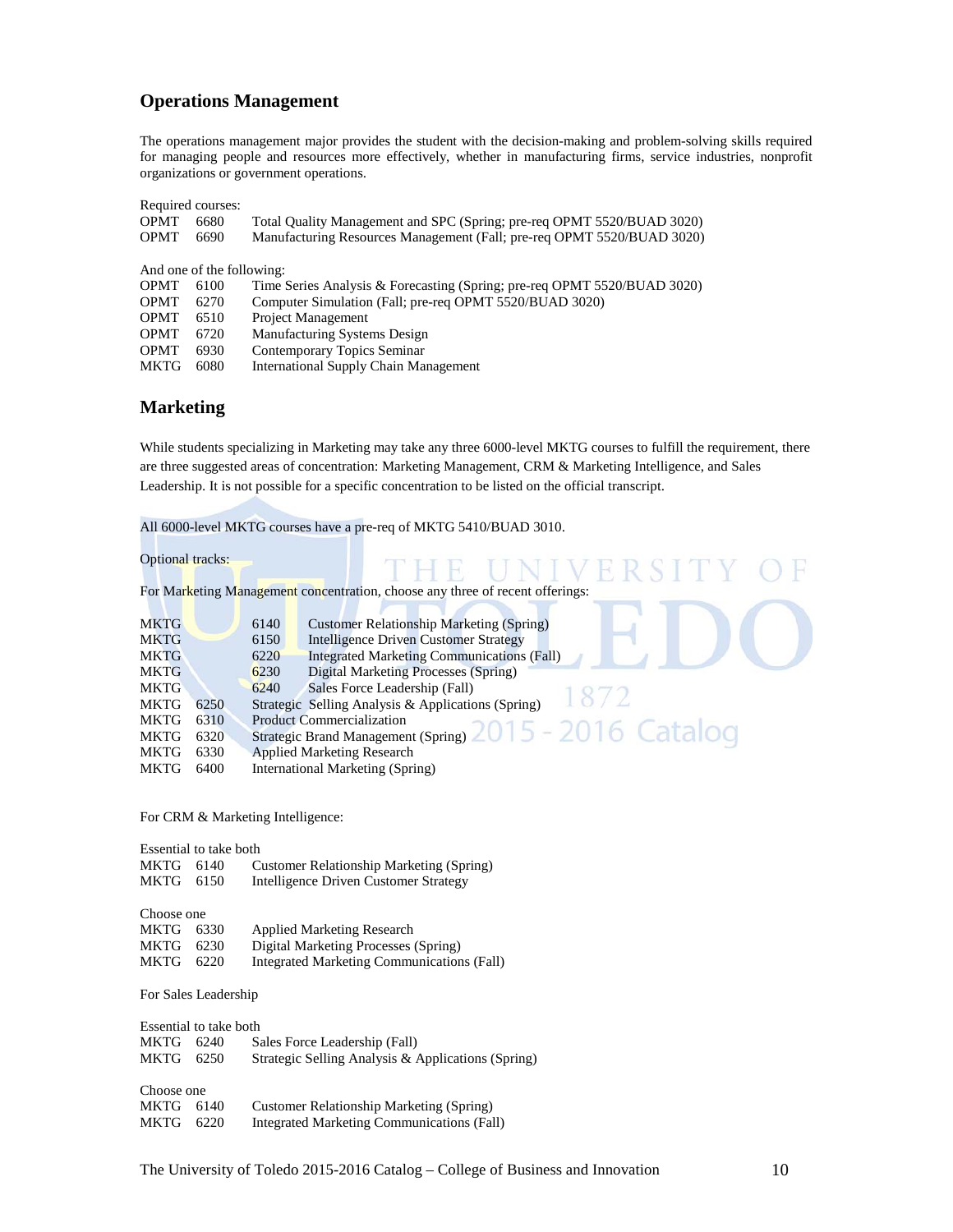#### **Operations Management**

The operations management major provides the student with the decision-making and problem-solving skills required for managing people and resources more effectively, whether in manufacturing firms, service industries, nonprofit organizations or government operations.

| Required courses: |                           |                                                                          |
|-------------------|---------------------------|--------------------------------------------------------------------------|
| <b>OPMT</b>       | 6680                      | Total Quality Management and SPC (Spring; pre-req OPMT 5520/BUAD 3020)   |
| <b>OPMT</b>       | 6690                      | Manufacturing Resources Management (Fall; pre-req OPMT 5520/BUAD 3020)   |
|                   |                           |                                                                          |
|                   | And one of the following: |                                                                          |
| <b>OPMT</b>       | 6100                      | Time Series Analysis & Forecasting (Spring; pre-req OPMT 5520/BUAD 3020) |
| <b>OPMT</b>       | 6270                      | Computer Simulation (Fall; pre-req OPMT 5520/BUAD 3020)                  |
| <b>OPMT</b>       | 6510                      | Project Management                                                       |
| <b>OPMT</b>       | 6720                      | <b>Manufacturing Systems Design</b>                                      |
| <b>OPMT</b>       | 6930                      | Contemporary Topics Seminar                                              |
| <b>MKTG</b>       | 6080                      | <b>International Supply Chain Management</b>                             |

#### **Marketing**

While students specializing in Marketing may take any three 6000-level MKTG courses to fulfill the requirement, there are three suggested areas of concentration: Marketing Management, CRM & Marketing Intelligence, and Sales Leadership. It is not possible for a specific concentration to be listed on the official transcript.

All 6000-level MKTG courses have a pre-req of MKTG 5410/BUAD 3010.

Optional tracks:

For Marketing Management concentration, choose any three of recent offerings:

| <b>MKTG</b> |      | 6140 | <b>Customer Relationship Marketing (Spring)</b>            |
|-------------|------|------|------------------------------------------------------------|
| <b>MKTG</b> |      | 6150 | <b>Intelligence Driven Customer Strategy</b>               |
| <b>MKTG</b> |      | 6220 | <b>Integrated Marketing Communications (Fall)</b>          |
| <b>MKTG</b> |      | 6230 | Digital Marketing Processes (Spring)                       |
| <b>MKTG</b> |      | 6240 | Sales Force Leadership (Fall)                              |
| <b>MKTG</b> | 6250 |      | 1872<br>Strategic Selling Analysis & Applications (Spring) |
| <b>MKTG</b> | 6310 |      | <b>Product Commercialization</b>                           |
| <b>MKTG</b> | 6320 |      | Strategic Brand Management (Spring) 2015 - 2016 Catalog    |
| MKTG        | 6330 |      | <b>Applied Marketing Research</b>                          |
| MKTG        | 6400 |      | International Marketing (Spring)                           |

For CRM & Marketing Intelligence:

| Essential to take both |  |                                          |  |  |
|------------------------|--|------------------------------------------|--|--|
| MKTG 6140              |  | Customer Relationship Marketing (Spring) |  |  |
| MKTG 6150              |  | Intelligence Driven Customer Strategy    |  |  |
| Choose one             |  |                                          |  |  |

| .         |                                            |
|-----------|--------------------------------------------|
| MKTG 6330 | <b>Applied Marketing Research</b>          |
| MKTG 6230 | Digital Marketing Processes (Spring)       |
| MKTG 6220 | Integrated Marketing Communications (Fall) |

For Sales Leadership

| Essential to take both |      |                                                    |
|------------------------|------|----------------------------------------------------|
| MKTG                   | 6240 | Sales Force Leadership (Fall)                      |
| MKTG                   | 6250 | Strategic Selling Analysis & Applications (Spring) |
| Choose one             |      |                                                    |
| MKTG                   | 6140 | Customer Relationship Marketing (Spring)           |
| MKTG                   | 6220 | <b>Integrated Marketing Communications (Fall)</b>  |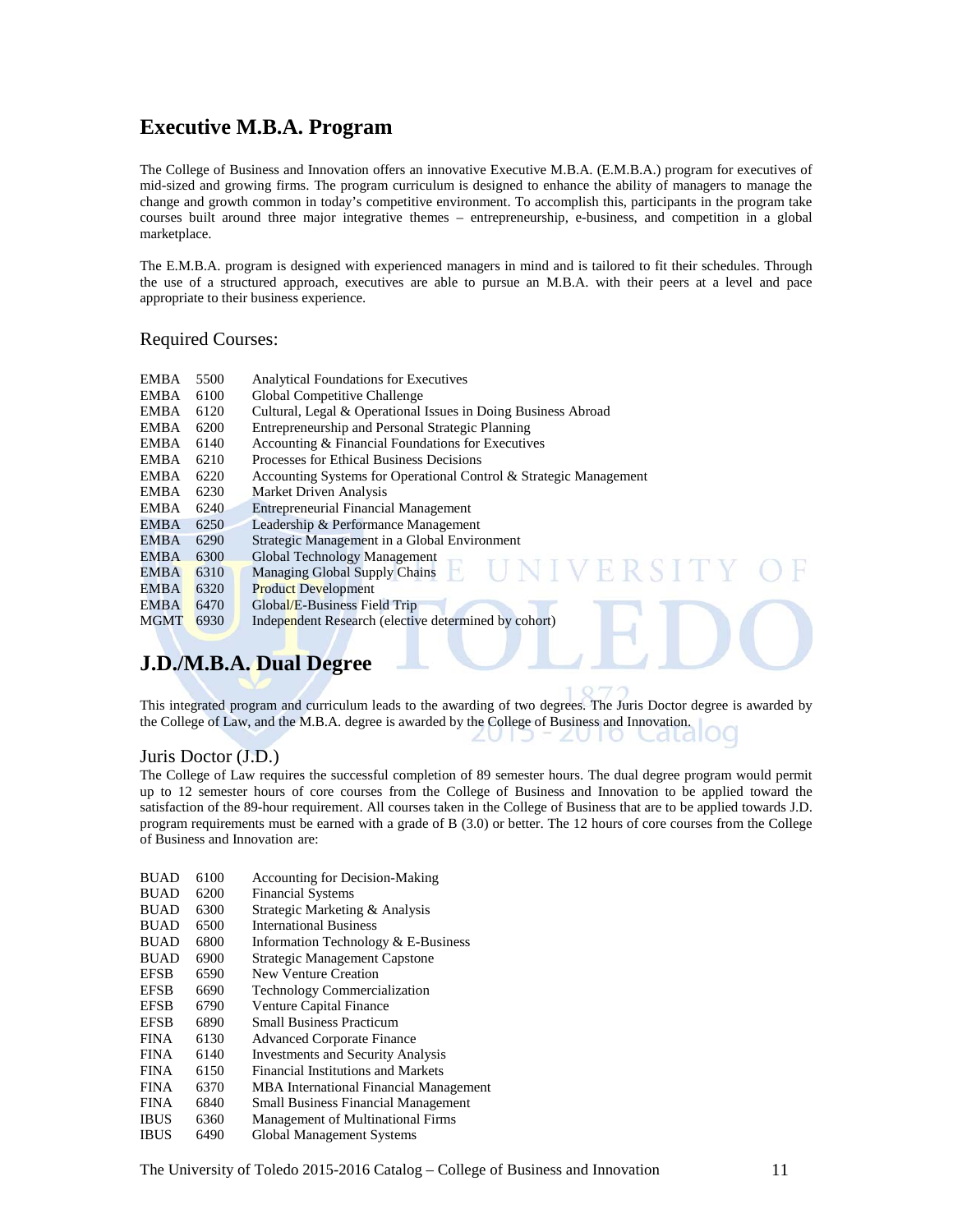## **Executive M.B.A. Program**

The College of Business and Innovation offers an innovative Executive M.B.A. (E.M.B.A.) program for executives of mid-sized and growing firms. The program curriculum is designed to enhance the ability of managers to manage the change and growth common in today's competitive environment. To accomplish this, participants in the program take courses built around three major integrative themes – entrepreneurship, e-business, and competition in a global marketplace.

The E.M.B.A. program is designed with experienced managers in mind and is tailored to fit their schedules. Through the use of a structured approach, executives are able to pursue an M.B.A. with their peers at a level and pace appropriate to their business experience.

#### Required Courses:

| EMBA        | 5500 | <b>Analytical Foundations for Executives</b>                      |
|-------------|------|-------------------------------------------------------------------|
| EMBA        | 6100 | Global Competitive Challenge                                      |
| EMBA        | 6120 | Cultural, Legal & Operational Issues in Doing Business Abroad     |
| EMBA        | 6200 | Entrepreneurship and Personal Strategic Planning                  |
| EMBA        | 6140 | Accounting & Financial Foundations for Executives                 |
| EMBA        | 6210 | Processes for Ethical Business Decisions                          |
| EMBA        | 6220 | Accounting Systems for Operational Control & Strategic Management |
| EMBA        | 6230 | Market Driven Analysis                                            |
| EMBA        | 6240 | <b>Entrepreneurial Financial Management</b>                       |
| <b>EMBA</b> | 6250 | Leadership & Performance Management                               |
| EMBA        | 6290 | Strategic Management in a Global Environment                      |
| <b>EMBA</b> | 6300 | Global Technology Management                                      |
| <b>EMBA</b> | 6310 | NIVERSITY<br><b>Managing Global Supply Chains</b>                 |
| EMBA        | 6320 | <b>Product Development</b>                                        |
| <b>EMBA</b> | 6470 | Global/E-Business Field Trip                                      |
| <b>MGMT</b> | 6930 | Independent Research (elective determined by cohort)              |
|             |      |                                                                   |

# **J.D./M.B.A. Dual Degree**

This integrated program and curriculum leads to the awarding of two degrees. The Juris Doctor degree is awarded by the College of Law, and the M.B.A. degree is awarded by the College of Business and Innovation.

 $\angle$   $\cup$ 

#### Juris Doctor (J.D.)

The College of Law requires the successful completion of 89 semester hours. The dual degree program would permit up to 12 semester hours of core courses from the College of Business and Innovation to be applied toward the satisfaction of the 89-hour requirement. All courses taken in the College of Business that are to be applied towards J.D. program requirements must be earned with a grade of B (3.0) or better. The 12 hours of core courses from the College of Business and Innovation are:

| 6100 | <b>Accounting for Decision-Making</b>      |
|------|--------------------------------------------|
| 6200 | <b>Financial Systems</b>                   |
| 6300 | Strategic Marketing & Analysis             |
| 6500 | <b>International Business</b>              |
| 6800 | Information Technology & E-Business        |
| 6900 | <b>Strategic Management Capstone</b>       |
| 6590 | New Venture Creation                       |
| 6690 | <b>Technology Commercialization</b>        |
| 6790 | Venture Capital Finance                    |
| 6890 | <b>Small Business Practicum</b>            |
| 6130 | <b>Advanced Corporate Finance</b>          |
| 6140 | <b>Investments and Security Analysis</b>   |
| 6150 | Financial Institutions and Markets         |
| 6370 | MBA International Financial Management     |
| 6840 | <b>Small Business Financial Management</b> |
| 6360 | Management of Multinational Firms          |
| 6490 | <b>Global Management Systems</b>           |
|      |                                            |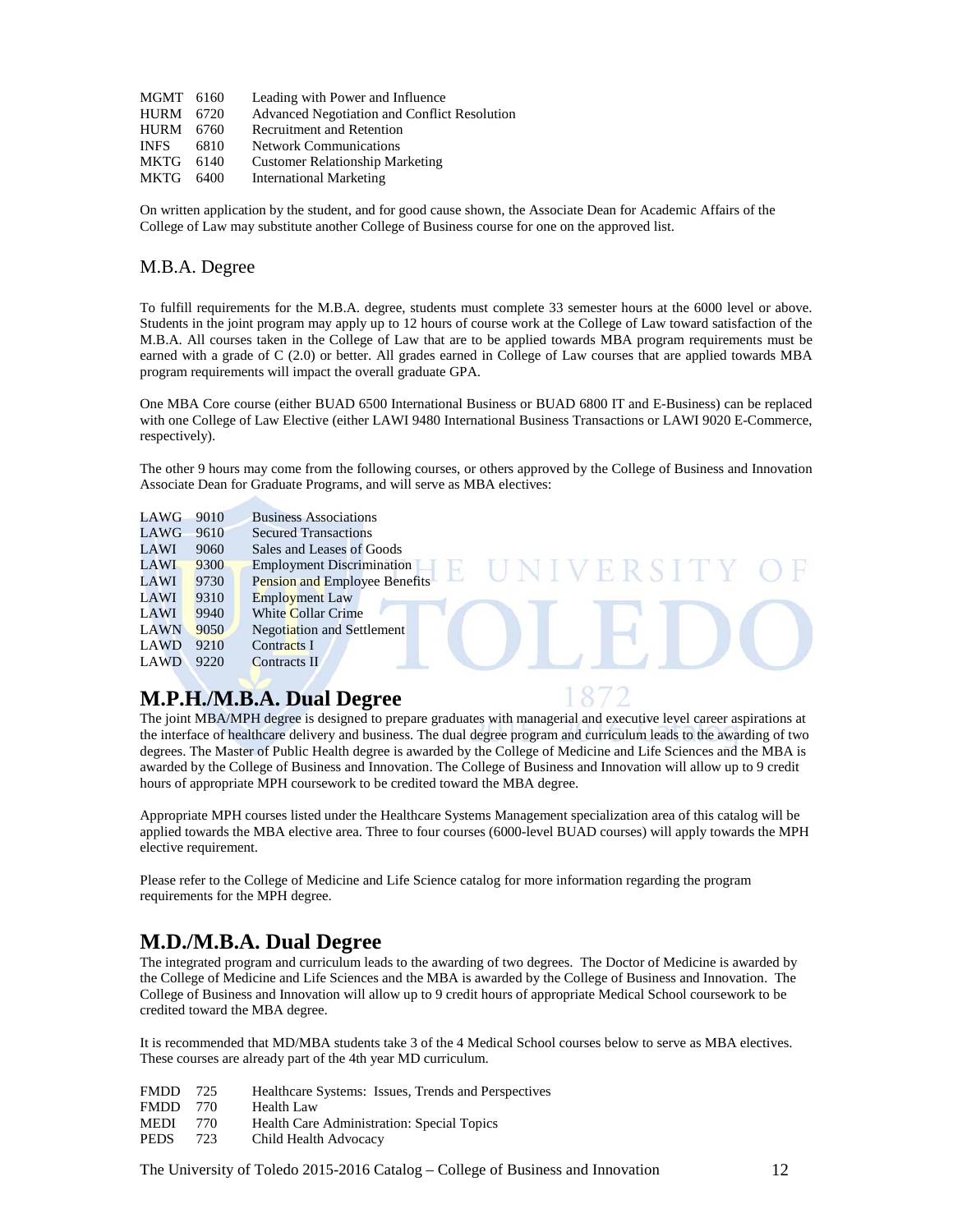| MGMT 6160 | Leading with Power and Influence             |
|-----------|----------------------------------------------|
| HURM 6720 | Advanced Negotiation and Conflict Resolution |
| HURM 6760 | <b>Recruitment and Retention</b>             |
| 6810      | <b>Network Communications</b>                |
| 6140      | <b>Customer Relationship Marketing</b>       |
| MKTG 6400 | <b>International Marketing</b>               |
|           |                                              |

On written application by the student, and for good cause shown, the Associate Dean for Academic Affairs of the College of Law may substitute another College of Business course for one on the approved list.

#### M.B.A. Degree

To fulfill requirements for the M.B.A. degree, students must complete 33 semester hours at the 6000 level or above. Students in the joint program may apply up to 12 hours of course work at the College of Law toward satisfaction of the M.B.A. All courses taken in the College of Law that are to be applied towards MBA program requirements must be earned with a grade of C (2.0) or better. All grades earned in College of Law courses that are applied towards MBA program requirements will impact the overall graduate GPA.

One MBA Core course (either BUAD 6500 International Business or BUAD 6800 IT and E-Business) can be replaced with one College of Law Elective (either LAWI 9480 International Business Transactions or LAWI 9020 E-Commerce, respectively).

The other 9 hours may come from the following courses, or others approved by the College of Business and Innovation Associate Dean for Graduate Programs, and will serve as MBA electives:

VERSI

| LAWG        | 9010 | <b>Business Associations</b>         |
|-------------|------|--------------------------------------|
| LAWG        | 9610 | <b>Secured Transactions</b>          |
| LAWI        | 9060 | Sales and Leases of Goods            |
| LAWI        | 9300 | <b>Employment Discrimination</b>     |
| LAWI        | 9730 | <b>Pension and Employee Benefits</b> |
| LAWI        | 9310 | <b>Employment Law</b>                |
| LAWI        | 9940 | <b>White Collar Crime</b>            |
| <b>LAWN</b> | 9050 | <b>Negotiation and Settlement</b>    |
| <b>LAWD</b> | 9210 | Contracts I                          |
| <b>LAWD</b> | 9220 | <b>Contracts II</b>                  |
|             |      |                                      |

### **M.P.H./M.B.A. Dual Degree**

The joint MBA/MPH degree is designed to prepare graduates with managerial and executive level career aspirations at the interface of healthcare delivery and business. The dual degree program and curriculum leads to the awarding of two degrees. The Master of Public Health degree is awarded by the College of Medicine and Life Sciences and the MBA is awarded by the College of Business and Innovation. The College of Business and Innovation will allow up to 9 credit hours of appropriate MPH coursework to be credited toward the MBA degree.

Appropriate MPH courses listed under the Healthcare Systems Management specialization area of this catalog will be applied towards the MBA elective area. Three to four courses (6000-level BUAD courses) will apply towards the MPH elective requirement.

Please refer to the College of Medicine and Life Science catalog for more information regarding the program requirements for the MPH degree.

### **M.D./M.B.A. Dual Degree**

The integrated program and curriculum leads to the awarding of two degrees. The Doctor of Medicine is awarded by the College of Medicine and Life Sciences and the MBA is awarded by the College of Business and Innovation. The College of Business and Innovation will allow up to 9 credit hours of appropriate Medical School coursework to be credited toward the MBA degree.

It is recommended that MD/MBA students take 3 of the 4 Medical School courses below to serve as MBA electives. These courses are already part of the 4th year MD curriculum.

- FMDD 725 Healthcare Systems: Issues, Trends and Perspectives
- FMDD 770 Health Law
- MEDI 770 Health Care Administration: Special Topics
- PEDS 723 Child Health Advocacy

The University of Toledo 2015-2016 Catalog – College of Business and Innovation 12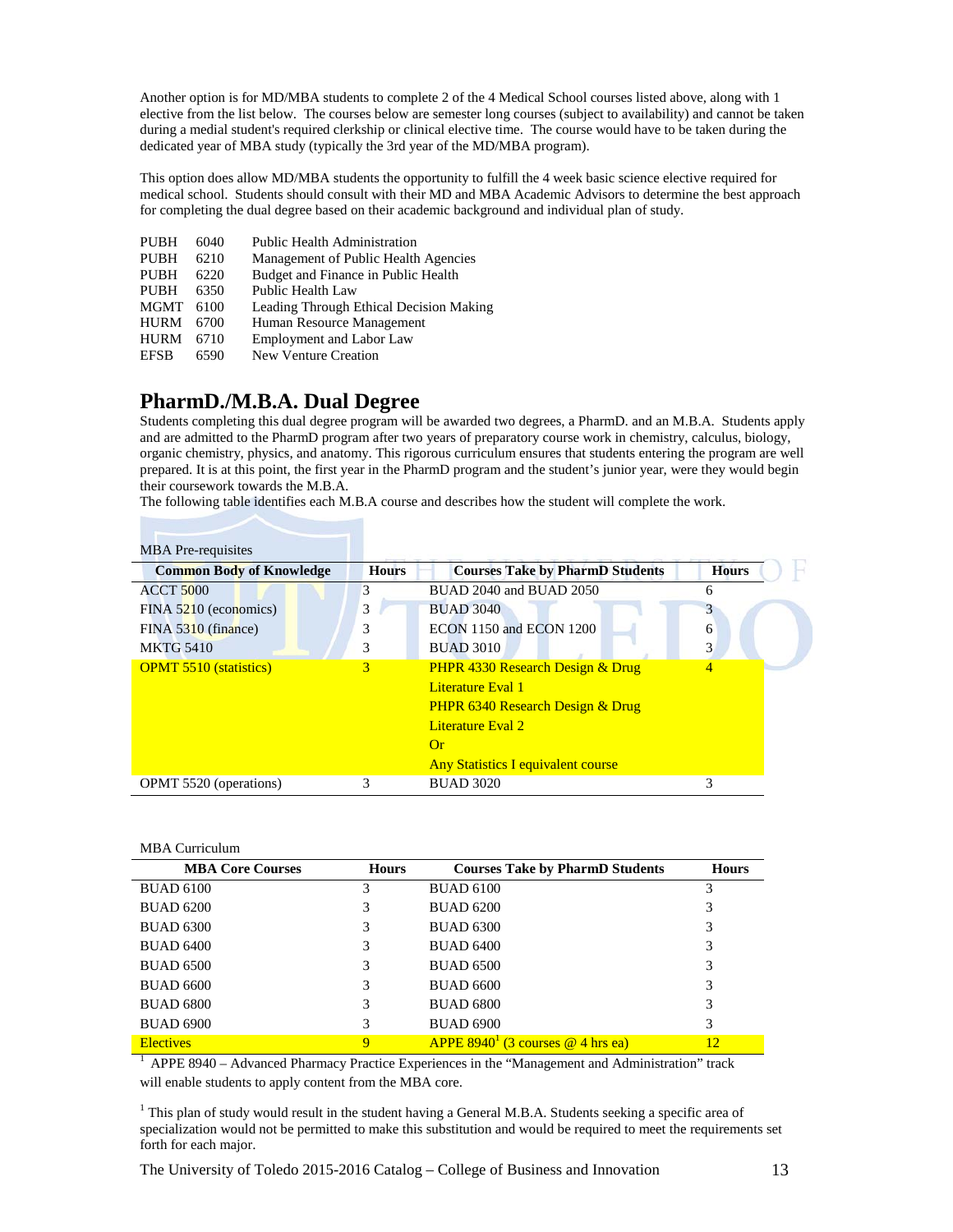Another option is for MD/MBA students to complete 2 of the 4 Medical School courses listed above, along with 1 elective from the list below. The courses below are semester long courses (subject to availability) and cannot be taken during a medial student's required clerkship or clinical elective time. The course would have to be taken during the dedicated year of MBA study (typically the 3rd year of the MD/MBA program).

This option does allow MD/MBA students the opportunity to fulfill the 4 week basic science elective required for medical school. Students should consult with their MD and MBA Academic Advisors to determine the best approach for completing the dual degree based on their academic background and individual plan of study.

| <b>PUBH</b> | 6040 | <b>Public Health Administration</b>     |
|-------------|------|-----------------------------------------|
| <b>PUBH</b> | 6210 | Management of Public Health Agencies    |
| <b>PUBH</b> | 6220 | Budget and Finance in Public Health     |
| <b>PUBH</b> | 6350 | Public Health Law                       |
| <b>MGMT</b> | 6100 | Leading Through Ethical Decision Making |
| <b>HURM</b> | 6700 | Human Resource Management               |
| <b>HURM</b> | 6710 | <b>Employment and Labor Law</b>         |
| <b>EFSB</b> | 6590 | <b>New Venture Creation</b>             |
|             |      |                                         |

## **PharmD./M.B.A. Dual Degree**

Students completing this dual degree program will be awarded two degrees, a PharmD. and an M.B.A. Students apply and are admitted to the PharmD program after two years of preparatory course work in chemistry, calculus, biology, organic chemistry, physics, and anatomy. This rigorous curriculum ensures that students entering the program are well prepared. It is at this point, the first year in the PharmD program and the student's junior year, were they would begin their coursework towards the M.B.A.

The following table identifies each M.B.A course and describes how the student will complete the work.

| <b>MBA</b> Pre-requisites       |              |                                             |                |
|---------------------------------|--------------|---------------------------------------------|----------------|
| <b>Common Body of Knowledge</b> | <b>Hours</b> | <b>Courses Take by PharmD Students</b>      | <b>Hours</b>   |
| <b>ACCT 5000</b>                | 3            | BUAD 2040 and BUAD 2050                     | 6              |
| FINA 5210 (economics)           | 3            | <b>BUAD 3040</b>                            | 3              |
| FINA 5310 (finance)             | 3            | ECON 1150 and ECON 1200                     | 6              |
| <b>MKTG 5410</b>                | 3            | <b>BUAD 3010</b>                            | 3              |
| <b>OPMT 5510 (statistics)</b>   | 3            | <b>PHPR 4330 Research Design &amp; Drug</b> | $\overline{4}$ |
|                                 |              | Literature Eval 1                           |                |
|                                 |              | <b>PHPR 6340 Research Design &amp; Drug</b> |                |
|                                 |              | Literature Eval 2                           |                |
|                                 |              | $\Omega$ r                                  |                |
|                                 |              | <b>Any Statistics I equivalent course</b>   |                |
| OPMT 5520 (operations)          | 3            | <b>BUAD 3020</b>                            | 3              |

#### MBA Curriculum

| <b>MBA Core Courses</b> | <b>Hours</b> | <b>Courses Take by PharmD Students</b> | <b>Hours</b> |
|-------------------------|--------------|----------------------------------------|--------------|
| <b>BUAD 6100</b>        | 3            | <b>BUAD 6100</b>                       |              |
| <b>BUAD 6200</b>        | 3            | <b>BUAD 6200</b>                       | 3            |
| <b>BUAD 6300</b>        | 3            | <b>BUAD 6300</b>                       | 3            |
| <b>BUAD 6400</b>        |              | <b>BUAD 6400</b>                       | 3            |
| <b>BUAD 6500</b>        | 3            | <b>BUAD 6500</b>                       | 3            |
| <b>BUAD 6600</b>        | 3            | <b>BUAD 6600</b>                       | 3            |
| <b>BUAD 6800</b>        | 3            | <b>BUAD 6800</b>                       | 3            |
| <b>BUAD 6900</b>        | 3            | <b>BUAD 6900</b>                       | 3            |
| <b>Electives</b>        | 9            | APPE $8940^1$ (3 courses @ 4 hrs ea)   | 12           |

1 APPE 8940 – Advanced Pharmacy Practice Experiences in the "Management and Administration" track will enable students to apply content from the MBA core.

<sup>1</sup> This plan of study would result in the student having a General M.B.A. Students seeking a specific area of specialization would not be permitted to make this substitution and would be required to meet the requirements set forth for each major.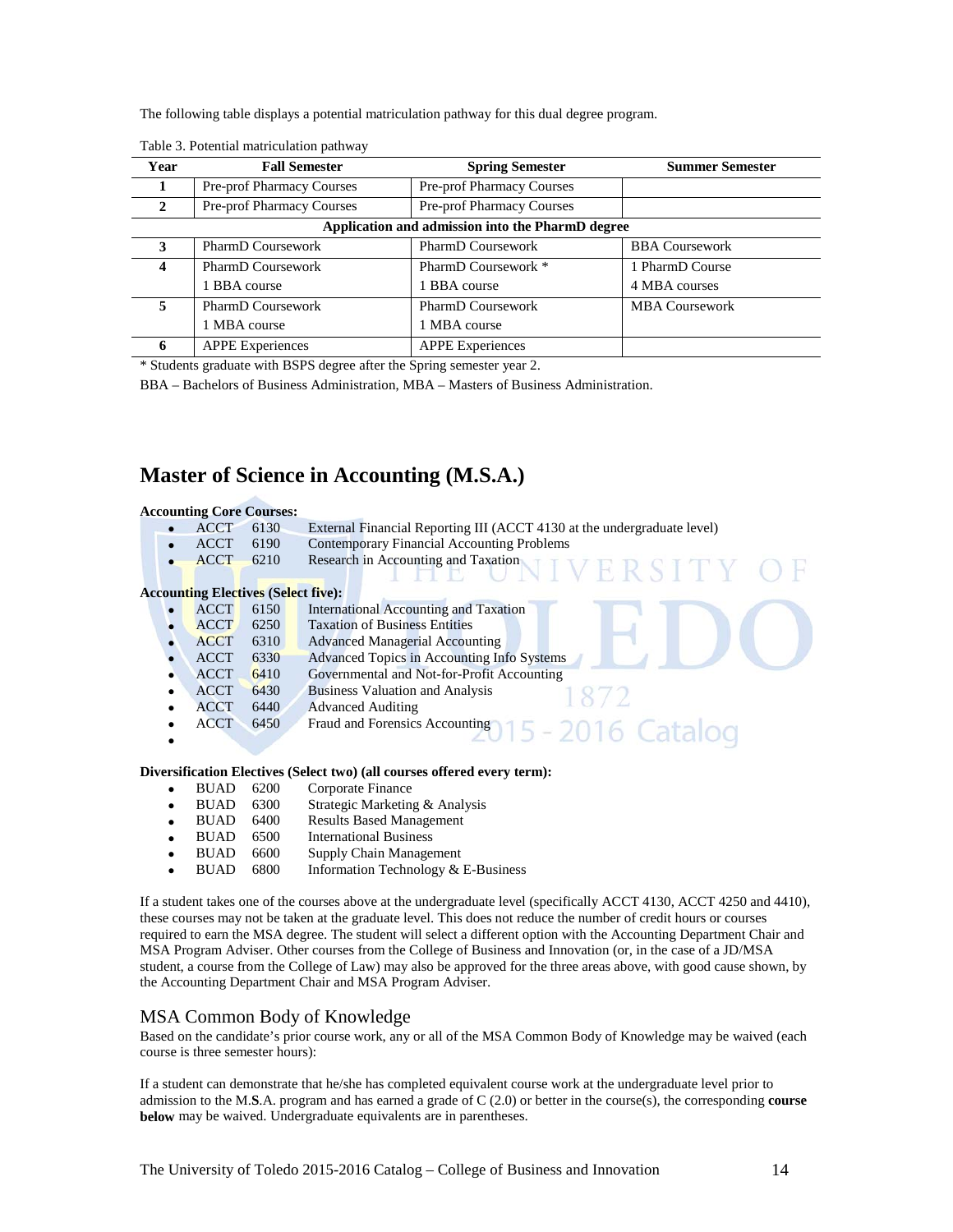The following table displays a potential matriculation pathway for this dual degree program.

| Year | <b>Fall Semester</b>             | <b>Spring Semester</b>                           | <b>Summer Semester</b> |
|------|----------------------------------|--------------------------------------------------|------------------------|
|      | <b>Pre-prof Pharmacy Courses</b> | <b>Pre-prof Pharmacy Courses</b>                 |                        |
| 2    | Pre-prof Pharmacy Courses        | Pre-prof Pharmacy Courses                        |                        |
|      |                                  | Application and admission into the PharmD degree |                        |
| 3    | <b>PharmD</b> Coursework         | <b>PharmD</b> Coursework                         | <b>BBA Coursework</b>  |
| 4    | <b>PharmD Coursework</b>         | PharmD Coursework *                              | 1 PharmD Course        |
|      | 1 BBA course                     | 1 BBA course                                     | 4 MBA courses          |
| 5    | <b>PharmD</b> Coursework         | <b>PharmD</b> Coursework                         | <b>MBA Coursework</b>  |
|      | 1 MBA course                     | 1 MBA course                                     |                        |
| 6    | <b>APPE Experiences</b>          | <b>APPE Experiences</b>                          |                        |

Table 3. Potential matriculation pathway

\* Students graduate with BSPS degree after the Spring semester year 2.

BBA – Bachelors of Business Administration, MBA – Masters of Business Administration.

### **Master of Science in Accounting (M.S.A.)**

# **Accounting Core Courses:**<br>• ACCT 6130

<sup>6130</sup> External Financial Reporting III (ACCT 4130 at the undergraduate level)<br><sup>6190</sup> Contemporary Financial Accounting Problems

11 L

- ACCT 6190 Contemporary Financial Accounting Problems<br>• ACCT 6210 Research in Accounting and Taxation
- Research in Accounting and Taxation

#### **Accounting Electives (Select five):**

| $\cdot$ $\cdot$ |      |                                                    |
|-----------------|------|----------------------------------------------------|
| <b>ACCT</b>     | 6150 | <b>International Accounting and Taxation</b>       |
| <b>ACCT</b>     | 6250 | <b>Taxation of Business Entities</b>               |
| <b>ACCT</b>     | 6310 | <b>Advanced Managerial Accounting</b>              |
| <b>ACCT</b>     | 6330 | Advanced Topics in Accounting Info Systems         |
| <b>ACCT</b>     | 6410 | Governmental and Not-for-Profit Accounting         |
| <b>ACCT</b>     | 6430 | <b>Business Valuation and Analysis</b>             |
| <b>ACCT</b>     | 6440 | <b>Advanced Auditing</b>                           |
| <b>ACCT</b>     | 6450 | Fraud and Forensics Accounting<br>15 - 2016 Catalo |
|                 |      |                                                    |
|                 |      |                                                    |

#### **Diversification Electives (Select two) (all courses offered every term):**

- BUAD 6200 Corporate Finance
- BUAD 6300 Strategic Marketing & Analysis
- BUAD 6400 Results Based Management
- BUAD 6500 International Business
- 
- BUAD 6600 Supply Chain Management<br>• BUAD 6800 Information Technology & • BUAD 6800 Information Technology & E-Business

If a student takes one of the courses above at the undergraduate level (specifically ACCT 4130, ACCT 4250 and 4410), these courses may not be taken at the graduate level. This does not reduce the number of credit hours or courses required to earn the MSA degree. The student will select a different option with the Accounting Department Chair and MSA Program Adviser. Other courses from the College of Business and Innovation (or, in the case of a JD/MSA student, a course from the College of Law) may also be approved for the three areas above, with good cause shown, by the Accounting Department Chair and MSA Program Adviser.

#### MSA Common Body of Knowledge

Based on the candidate's prior course work, any or all of the MSA Common Body of Knowledge may be waived (each course is three semester hours):

If a student can demonstrate that he/she has completed equivalent course work at the undergraduate level prior to admission to the M.**S**.A. program and has earned a grade of C (2.0) or better in the course(s), the corresponding **course below** may be waived. Undergraduate equivalents are in parentheses.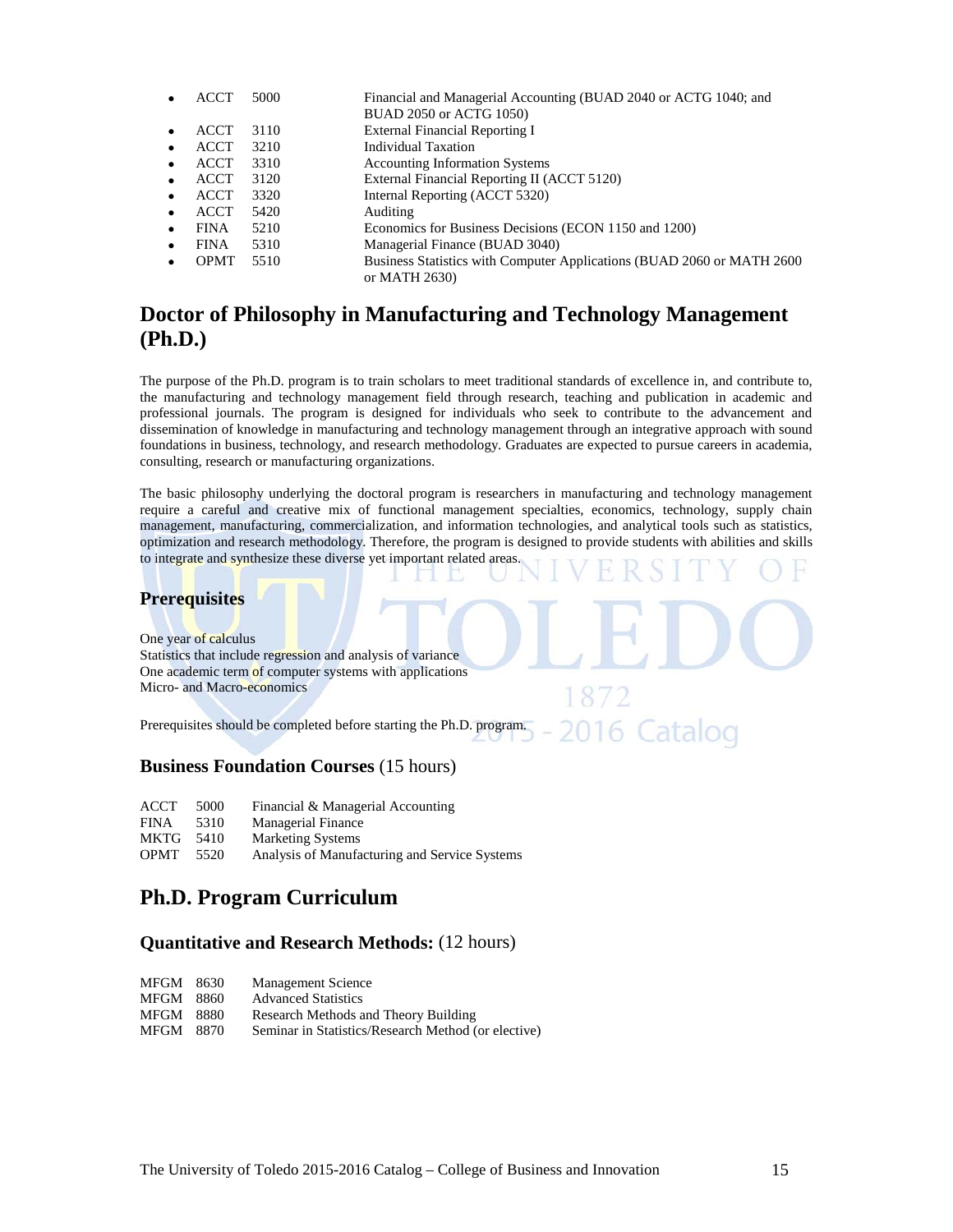| ACCI        | 5000 | Financial and Managerial Accounting (BUAD 2040 or ACTG 1040; and        |
|-------------|------|-------------------------------------------------------------------------|
|             |      | BUAD 2050 or ACTG 1050)                                                 |
| <b>ACCT</b> | 3110 | External Financial Reporting I                                          |
| <b>ACCT</b> | 3210 | Individual Taxation                                                     |
| <b>ACCT</b> | 3310 | <b>Accounting Information Systems</b>                                   |
| <b>ACCT</b> | 3120 | External Financial Reporting II (ACCT 5120)                             |
| <b>ACCT</b> | 3320 | Internal Reporting (ACCT 5320)                                          |
| <b>ACCT</b> | 5420 | Auditing                                                                |
| <b>FINA</b> | 5210 | Economics for Business Decisions (ECON 1150 and 1200)                   |
| <b>FINA</b> | 5310 | Managerial Finance (BUAD 3040)                                          |
| <b>OPMT</b> | 5510 | Business Statistics with Computer Applications (BUAD 2060 or MATH 2600) |
|             |      | or MATH 2630)                                                           |
|             |      |                                                                         |

## **Doctor of Philosophy in Manufacturing and Technology Management (Ph.D.)**

The purpose of the Ph.D. program is to train scholars to meet traditional standards of excellence in, and contribute to, the manufacturing and technology management field through research, teaching and publication in academic and professional journals. The program is designed for individuals who seek to contribute to the advancement and dissemination of knowledge in manufacturing and technology management through an integrative approach with sound foundations in business, technology, and research methodology. Graduates are expected to pursue careers in academia, consulting, research or manufacturing organizations.

The basic philosophy underlying the doctoral program is researchers in manufacturing and technology management require a careful and creative mix of functional management specialties, economics, technology, supply chain management, manufacturing, commercialization, and information technologies, and analytical tools such as statistics, optimization and research methodology. Therefore, the program is designed to provide students with abilities and skills to integrate and synthesize these diverse yet important related areas.

#### **Prerequisites**

One year of calculus Statistics that include regression and analysis of variance One academic term of computer systems with applications Micro- and Macro-economics

Prerequisites should be completed before starting the Ph.D. program.

#### **Business Foundation Courses** (15 hours)

| ACCT 5000 | Financial & Managerial Accounting |
|-----------|-----------------------------------|
|           |                                   |

- FINA 5310 Managerial Finance
- MKTG 5410 Marketing Systems<br>
OPMT 5520 Analysis of Manufa
- Analysis of Manufacturing and Service Systems

## **Ph.D. Program Curriculum**

#### **Quantitative and Research Methods:** (12 hours)

| MFGM | 8630 | <b>Management Science</b> |
|------|------|---------------------------|
|------|------|---------------------------|

- MFGM 8860 Advanced Statistics
- MFGM 8880 Research Methods and Theory Building
- MFGM 8870 Seminar in Statistics/Research Method (or elective)

Catalog